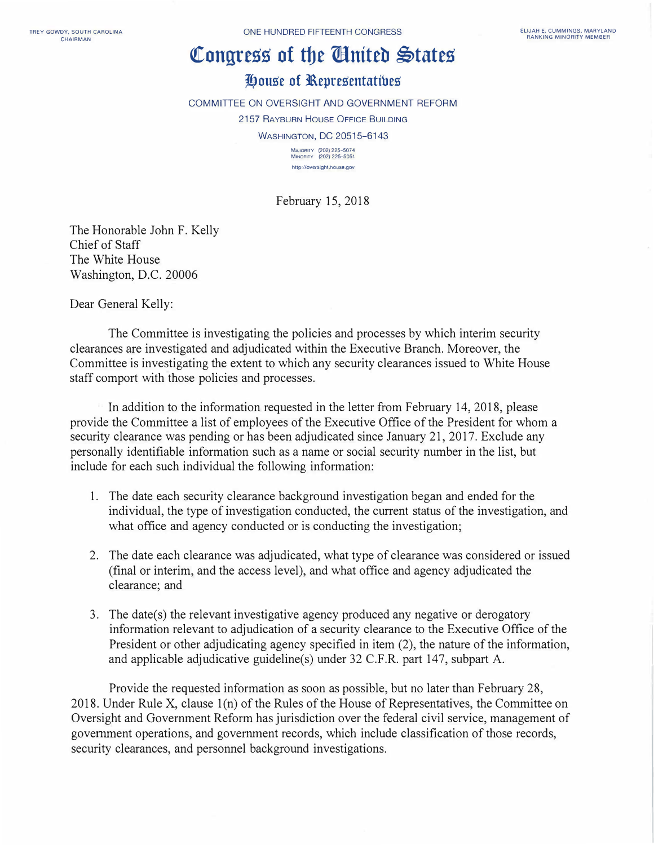## **�ongress of tbe Wntteb �tates**

## **J!,ou.se of l\epre.sentatibe.s**

COMMITTEE ON OVERSIGHT AND GOVERNMENT REFORM 2157 RAYBURN HOUSE OFFICE BUILDING **WASHINGTON, DC 20515-6143** 

**MAJORITY (202) 225-507 4 MINORITY (202) 225-5051 http://oversight.house.gov** 

February 15, 2018

The Honorable John F. Kelly Chief of Staff The White House Washington, D.C. 20006

Dear General Kelly:

The Committee is investigating the policies and processes by which interim security clearances are investigated and adjudicated within the Executive Branch. Moreover, the Committee is investigating the extent to which any security clearances issued to White House staff comport with those policies and processes.

In addition to the information requested in the letter from February 14, 2018, please provide the Committee a list of employees of the Executive Office of the President for whom a security clearance was pending or has been adjudicated since January 21, 2017. Exclude any personally identifiable information such as a name or social security number in the list, but include for each such individual the following information:

- 1. The date each security clearance background investigation began and ended for the individual, the type of investigation conducted, the current status of the investigation, and what office and agency conducted or is conducting the investigation;
- 2. The date each clearance was adjudicated, what type of clearance was considered or issued (final or interim, and the access level), and what office and agency adjudicated the clearance; and
- 3. The date(s) the relevant investigative agency produced any negative or derogatory information relevant to adjudication of a security clearance to the Executive Office of the President or other adjudicating agency specified in item (2), the nature of the information, and applicable adjudicative guideline(s) under 32 C.F.R. part 147, subpart A.

Provide the requested information as soon as possible, but no later than February 28, 2018. Under Rule X, clause  $1(n)$  of the Rules of the House of Representatives, the Committee on Oversight and Government Reform has jurisdiction over the federal civil service, management of government operations, and government records, which include classification of those records, security clearances, and personnel background investigations.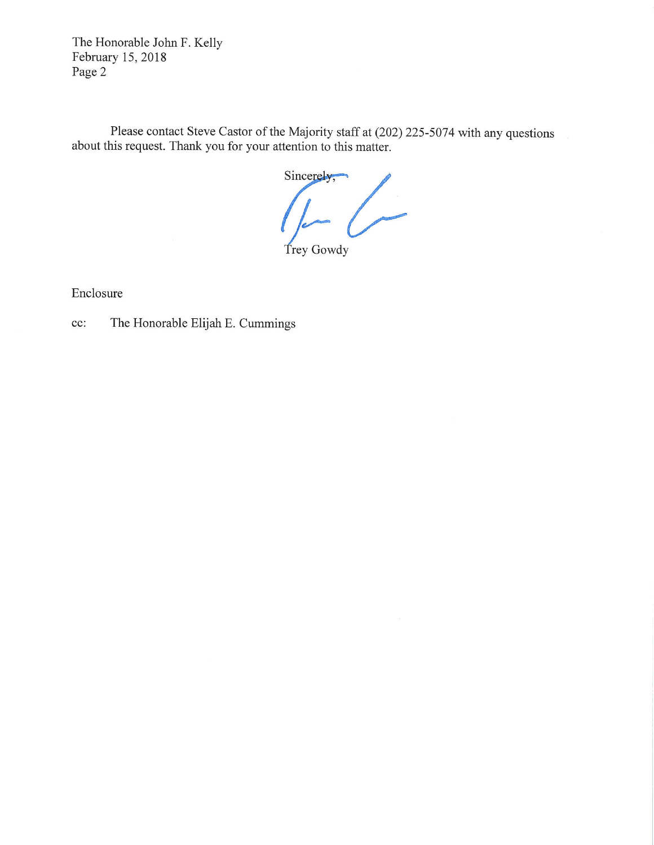The Honorable John F. Kelly February 15, 2018 Page 2

Please contact Steve Castor of the Majority staff at (202) 225-5074 with any questions about this request. Thank you for your attention to this matter.

Sincerely, $\blacksquare$  $\overline{\phantom{a}}$ Trey Gowdy

Enclosure

The Honorable Elijah E. Cummings cc: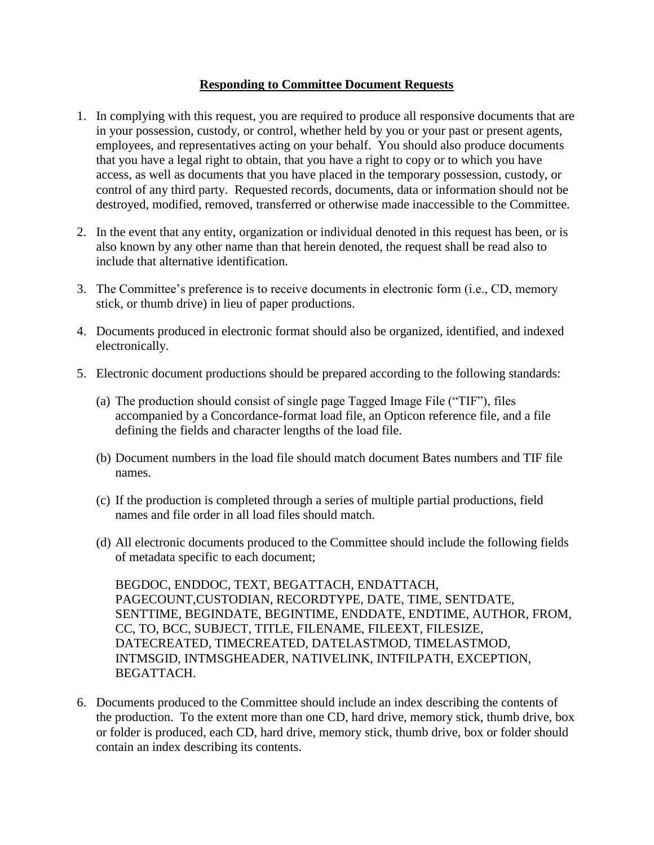## **Responding to Committee Document Requests**

- 1. In complying with this request, you are required to produce all responsive documents that are in your possession, custody, or control, whether held by you or your past or present agents, employees, and representatives acting on your behalf. You should also produce documents that you have a legal right to obtain, that you have a right to copy or to which you have access, as well as documents that you have placed in the temporary possession, custody, or control of any third party. Requested records, documents, data or information should not be destroyed, modified, removed, transferred or otherwise made inaccessible to the Committee.
- 2. In the event that any entity, organization or individual denoted in this request has been, or is also known by any other name than that herein denoted, the request shall be read also to include that alternative identification.
- 3. The Committee's preference is to receive documents in electronic form (i.e., CD, memory stick, or thumb drive) in lieu of paper productions.
- 4. Documents produced in electronic format should also be organized, identified, and indexed electronically.
- 5. Electronic document productions should be prepared according to the following standards:
	- (a) The production should consist of single page Tagged Image File ("TIF"), files accompanied by a Concordance-format load file, an Opticon reference file, and a file defining the fields and character lengths of the load file.
	- (b) Document numbers in the load file should match document Bates numbers and TIF file names.
	- (c) If the production is completed through a series of multiple partial productions, field names and file order in all load files should match.
	- (d) All electronic documents produced to the Committee should include the following fields of metadata specific to each document;

BEGDOC, ENDDOC, TEXT, BEGATTACH, ENDATTACH, PAGECOUNT,CUSTODIAN, RECORDTYPE, DATE, TIME, SENTDATE, SENTTIME, BEGINDATE, BEGINTIME, ENDDATE, ENDTIME, AUTHOR, FROM, CC, TO, BCC, SUBJECT, TITLE, FILENAME, FILEEXT, FILESIZE, DATECREATED, TIMECREATED, DATELASTMOD, TIMELASTMOD, INTMSGID, INTMSGHEADER, NATIVELINK, INTFILPATH, EXCEPTION, BEGATTACH.

6. Documents produced to the Committee should include an index describing the contents of the production. To the extent more than one CD, hard drive, memory stick, thumb drive, box or folder is produced, each CD, hard drive, memory stick, thumb drive, box or folder should contain an index describing its contents.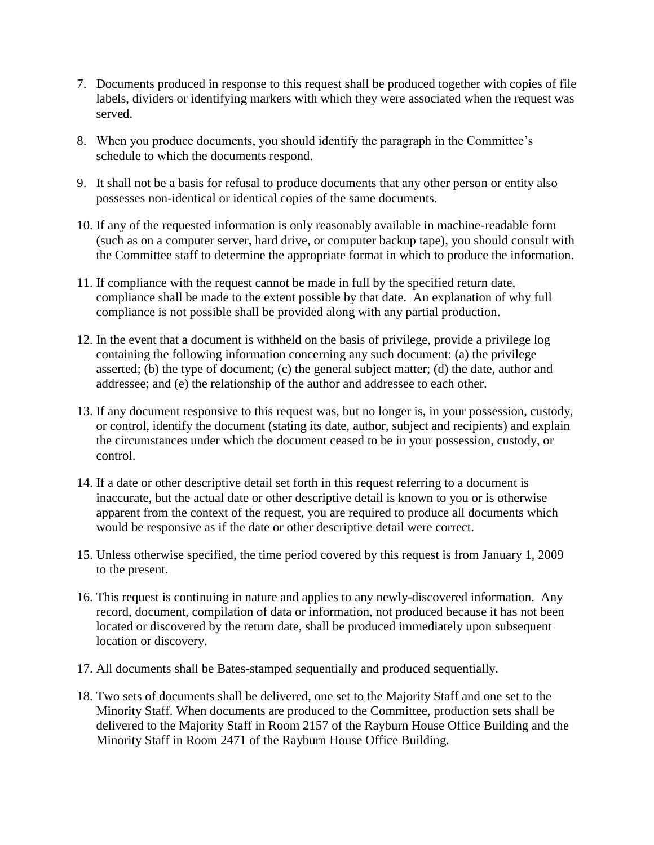- 7. Documents produced in response to this request shall be produced together with copies of file labels, dividers or identifying markers with which they were associated when the request was served.
- 8. When you produce documents, you should identify the paragraph in the Committee's schedule to which the documents respond.
- 9. It shall not be a basis for refusal to produce documents that any other person or entity also possesses non-identical or identical copies of the same documents.
- 10. If any of the requested information is only reasonably available in machine-readable form (such as on a computer server, hard drive, or computer backup tape), you should consult with the Committee staff to determine the appropriate format in which to produce the information.
- 11. If compliance with the request cannot be made in full by the specified return date, compliance shall be made to the extent possible by that date. An explanation of why full compliance is not possible shall be provided along with any partial production.
- 12. In the event that a document is withheld on the basis of privilege, provide a privilege log containing the following information concerning any such document: (a) the privilege asserted; (b) the type of document; (c) the general subject matter; (d) the date, author and addressee; and (e) the relationship of the author and addressee to each other.
- 13. If any document responsive to this request was, but no longer is, in your possession, custody, or control, identify the document (stating its date, author, subject and recipients) and explain the circumstances under which the document ceased to be in your possession, custody, or control.
- 14. If a date or other descriptive detail set forth in this request referring to a document is inaccurate, but the actual date or other descriptive detail is known to you or is otherwise apparent from the context of the request, you are required to produce all documents which would be responsive as if the date or other descriptive detail were correct.
- 15. Unless otherwise specified, the time period covered by this request is from January 1, 2009 to the present.
- 16. This request is continuing in nature and applies to any newly-discovered information. Any record, document, compilation of data or information, not produced because it has not been located or discovered by the return date, shall be produced immediately upon subsequent location or discovery.
- 17. All documents shall be Bates-stamped sequentially and produced sequentially.
- 18. Two sets of documents shall be delivered, one set to the Majority Staff and one set to the Minority Staff. When documents are produced to the Committee, production sets shall be delivered to the Majority Staff in Room 2157 of the Rayburn House Office Building and the Minority Staff in Room 2471 of the Rayburn House Office Building.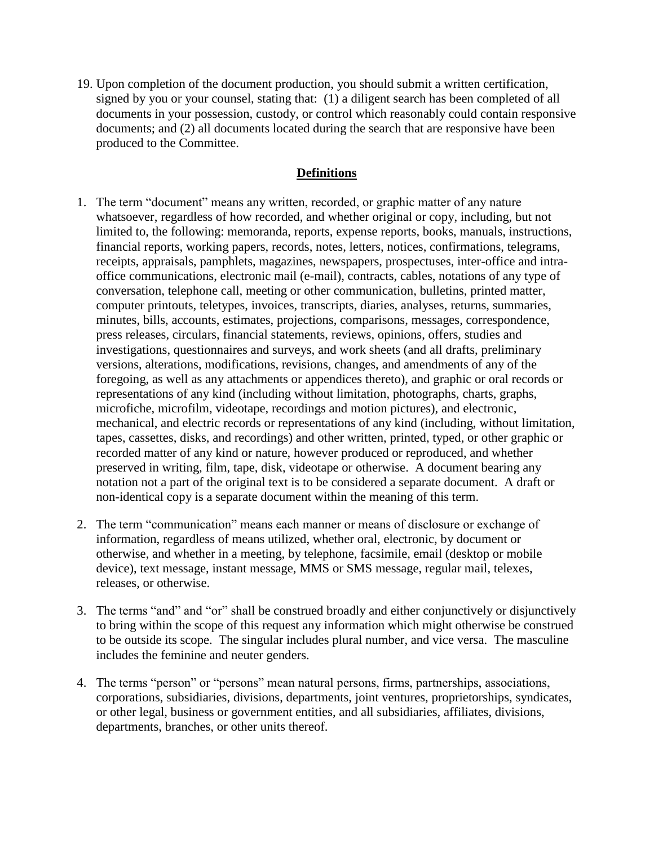19. Upon completion of the document production, you should submit a written certification, signed by you or your counsel, stating that: (1) a diligent search has been completed of all documents in your possession, custody, or control which reasonably could contain responsive documents; and (2) all documents located during the search that are responsive have been produced to the Committee.

## **Definitions**

- 1. The term "document" means any written, recorded, or graphic matter of any nature whatsoever, regardless of how recorded, and whether original or copy, including, but not limited to, the following: memoranda, reports, expense reports, books, manuals, instructions, financial reports, working papers, records, notes, letters, notices, confirmations, telegrams, receipts, appraisals, pamphlets, magazines, newspapers, prospectuses, inter-office and intraoffice communications, electronic mail (e-mail), contracts, cables, notations of any type of conversation, telephone call, meeting or other communication, bulletins, printed matter, computer printouts, teletypes, invoices, transcripts, diaries, analyses, returns, summaries, minutes, bills, accounts, estimates, projections, comparisons, messages, correspondence, press releases, circulars, financial statements, reviews, opinions, offers, studies and investigations, questionnaires and surveys, and work sheets (and all drafts, preliminary versions, alterations, modifications, revisions, changes, and amendments of any of the foregoing, as well as any attachments or appendices thereto), and graphic or oral records or representations of any kind (including without limitation, photographs, charts, graphs, microfiche, microfilm, videotape, recordings and motion pictures), and electronic, mechanical, and electric records or representations of any kind (including, without limitation, tapes, cassettes, disks, and recordings) and other written, printed, typed, or other graphic or recorded matter of any kind or nature, however produced or reproduced, and whether preserved in writing, film, tape, disk, videotape or otherwise. A document bearing any notation not a part of the original text is to be considered a separate document. A draft or non-identical copy is a separate document within the meaning of this term.
- 2. The term "communication" means each manner or means of disclosure or exchange of information, regardless of means utilized, whether oral, electronic, by document or otherwise, and whether in a meeting, by telephone, facsimile, email (desktop or mobile device), text message, instant message, MMS or SMS message, regular mail, telexes, releases, or otherwise.
- 3. The terms "and" and "or" shall be construed broadly and either conjunctively or disjunctively to bring within the scope of this request any information which might otherwise be construed to be outside its scope. The singular includes plural number, and vice versa. The masculine includes the feminine and neuter genders.
- 4. The terms "person" or "persons" mean natural persons, firms, partnerships, associations, corporations, subsidiaries, divisions, departments, joint ventures, proprietorships, syndicates, or other legal, business or government entities, and all subsidiaries, affiliates, divisions, departments, branches, or other units thereof.